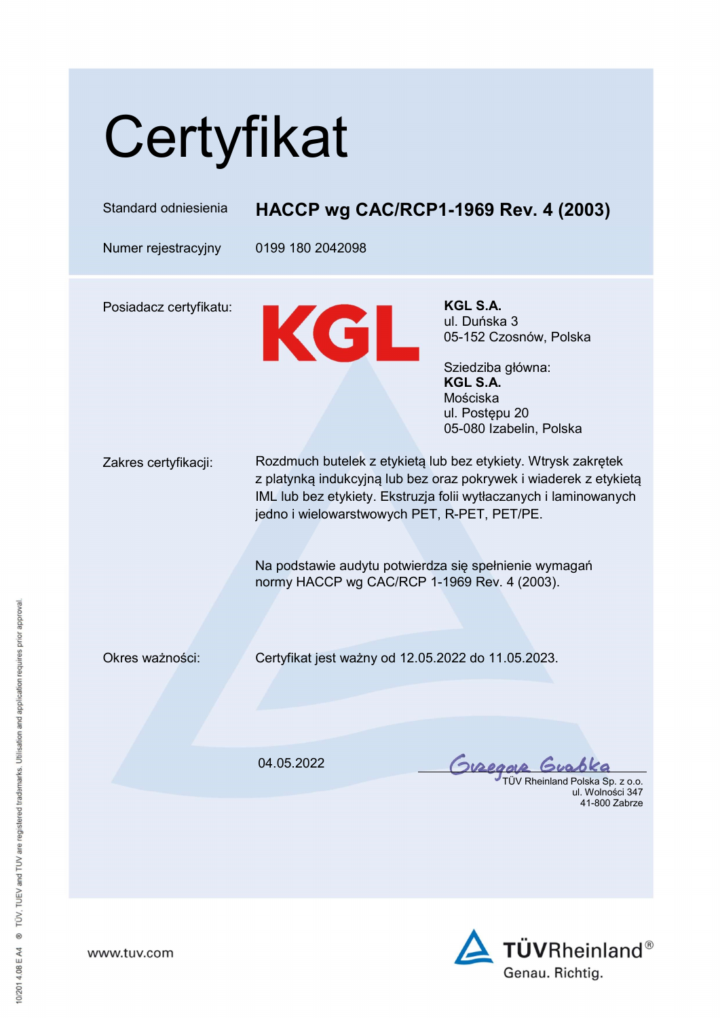| Certyfikat             |                                                                                                                                                                                                                                                                                                                                                                  |                                                                                                                                              |
|------------------------|------------------------------------------------------------------------------------------------------------------------------------------------------------------------------------------------------------------------------------------------------------------------------------------------------------------------------------------------------------------|----------------------------------------------------------------------------------------------------------------------------------------------|
| Standard odniesienia   | HACCP wg CAC/RCP1-1969 Rev. 4 (2003)                                                                                                                                                                                                                                                                                                                             |                                                                                                                                              |
| Numer rejestracyjny    | 0199 180 2042098                                                                                                                                                                                                                                                                                                                                                 |                                                                                                                                              |
| Posiadacz certyfikatu: | KGL                                                                                                                                                                                                                                                                                                                                                              | KGL S.A.<br>ul. Duńska 3<br>05-152 Czosnów, Polska<br>Sziedziba główna:<br>KGL S.A.<br>Mościska<br>ul. Postępu 20<br>05-080 Izabelin, Polska |
| Zakres certyfikacji:   | Rozdmuch butelek z etykietą lub bez etykiety. Wtrysk zakrętek<br>z platynką indukcyjną lub bez oraz pokrywek i wiaderek z etykietą<br>IML lub bez etykiety. Ekstruzja folii wytłaczanych i laminowanych<br>jedno i wielowarstwowych PET, R-PET, PET/PE.<br>Na podstawie audytu potwierdza się spełnienie wymagań<br>normy HACCP wg CAC/RCP 1-1969 Rev. 4 (2003). |                                                                                                                                              |
| Okres ważności:        | Certyfikat jest ważny od 12.05.2022 do 11.05.2023.                                                                                                                                                                                                                                                                                                               |                                                                                                                                              |
|                        | 04.05.2022                                                                                                                                                                                                                                                                                                                                                       | Guzeq<br>TÜV Rheinland Polska Sp. z o.o.<br>ul. Wolności 347<br>41-800 Zabrze                                                                |



www.tuv.com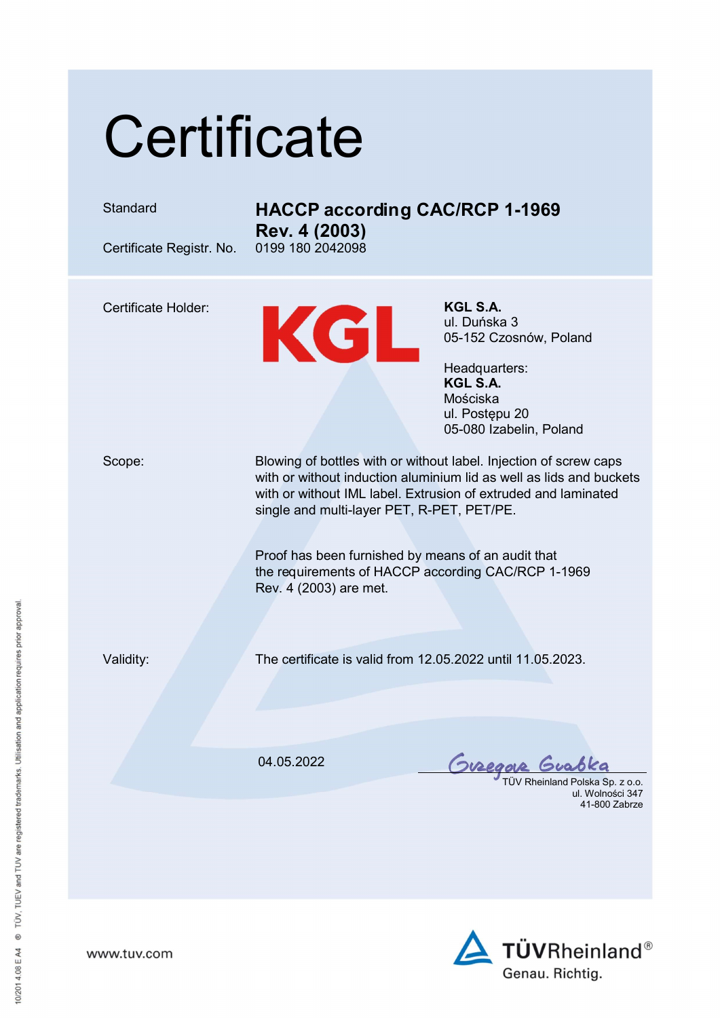## **Certificate**





www.tuv.com